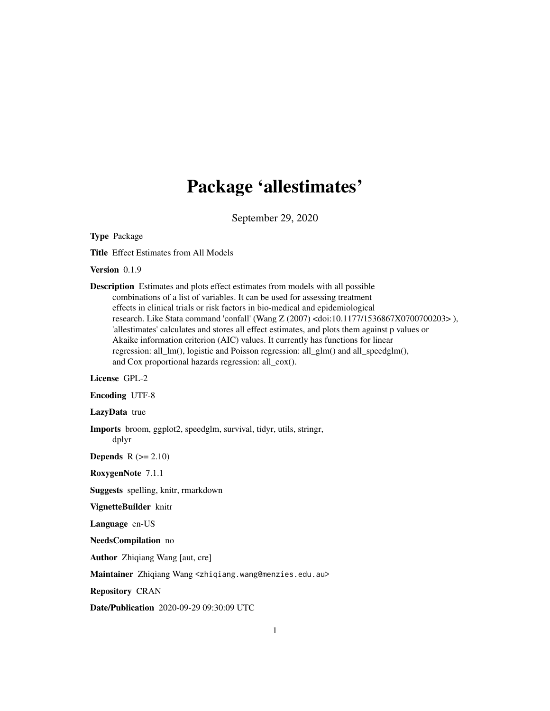## Package 'allestimates'

September 29, 2020

Type Package

Title Effect Estimates from All Models

Version 0.1.9

Description Estimates and plots effect estimates from models with all possible combinations of a list of variables. It can be used for assessing treatment effects in clinical trials or risk factors in bio-medical and epidemiological research. Like Stata command 'confall' (Wang Z (2007) <doi:10.1177/1536867X0700700203> ), 'allestimates' calculates and stores all effect estimates, and plots them against p values or Akaike information criterion (AIC) values. It currently has functions for linear regression: all\_lm(), logistic and Poisson regression: all\_glm() and all\_speedglm(), and Cox proportional hazards regression: all\_cox().

#### License GPL-2

Encoding UTF-8

LazyData true

Imports broom, ggplot2, speedglm, survival, tidyr, utils, stringr, dplyr

**Depends**  $R$  ( $>= 2.10$ )

RoxygenNote 7.1.1

Suggests spelling, knitr, rmarkdown

VignetteBuilder knitr

Language en-US

NeedsCompilation no

Author Zhiqiang Wang [aut, cre]

Maintainer Zhiqiang Wang <zhiqiang.wang@menzies.edu.au>

Repository CRAN

Date/Publication 2020-09-29 09:30:09 UTC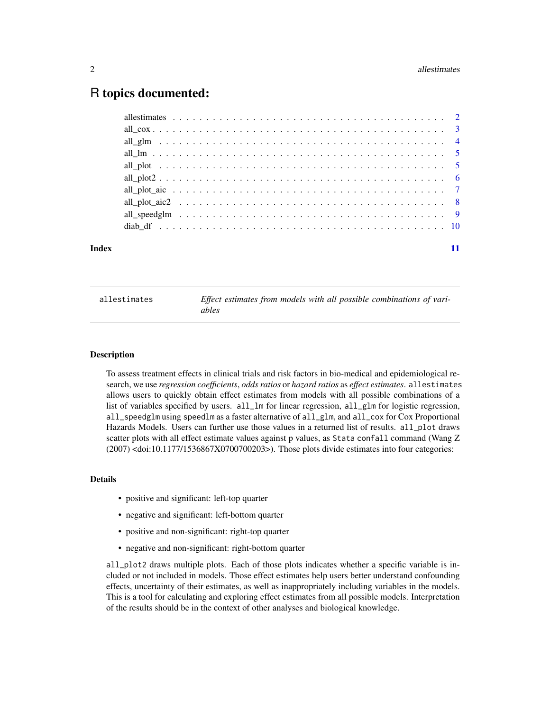### <span id="page-1-0"></span>R topics documented:

| Index |  |  |  |  |  |  |  |  |  |  |  |  |  |  |  |  |  |
|-------|--|--|--|--|--|--|--|--|--|--|--|--|--|--|--|--|--|

allestimates *Effect estimates from models with all possible combinations of variables*

#### Description

To assess treatment effects in clinical trials and risk factors in bio-medical and epidemiological research, we use *regression coefficients*, *odds ratios* or *hazard ratios* as *effect estimates*. allestimates allows users to quickly obtain effect estimates from models with all possible combinations of a list of variables specified by users. all\_lm for linear regression, all\_glm for logistic regression, all\_speedglm using speedlm as a faster alternative of all\_glm, and all\_cox for Cox Proportional Hazards Models. Users can further use those values in a returned list of results. all\_plot draws scatter plots with all effect estimate values against p values, as Stata confall command (Wang Z (2007) <doi:10.1177/1536867X0700700203>). Those plots divide estimates into four categories:

#### Details

- positive and significant: left-top quarter
- negative and significant: left-bottom quarter
- positive and non-significant: right-top quarter
- negative and non-significant: right-bottom quarter

all\_plot2 draws multiple plots. Each of those plots indicates whether a specific variable is included or not included in models. Those effect estimates help users better understand confounding effects, uncertainty of their estimates, as well as inappropriately including variables in the models. This is a tool for calculating and exploring effect estimates from all possible models. Interpretation of the results should be in the context of other analyses and biological knowledge.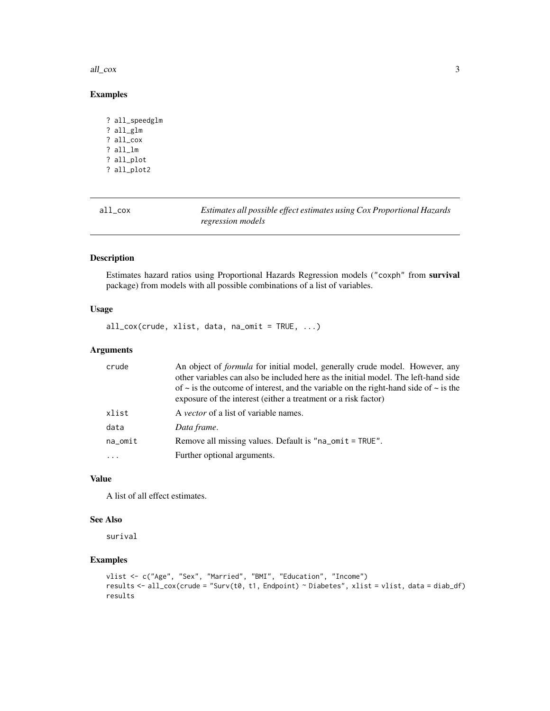#### <span id="page-2-0"></span>all\_cox 3

#### Examples

```
? all_speedglm
? all_glm
? all_cox
? all_lm
? all_plot
? all_plot2
```

| all_cox | Estimates all possible effect estimates using Cox Proportional Hazards |
|---------|------------------------------------------------------------------------|
|         | regression models                                                      |

#### Description

Estimates hazard ratios using Proportional Hazards Regression models ("coxph" from survival package) from models with all possible combinations of a list of variables.

#### Usage

all\_cox(crude, xlist, data, na\_omit = TRUE, ...)

#### Arguments

| crude                | An object of <i>formula</i> for initial model, generally crude model. However, any<br>other variables can also be included here as the initial model. The left-hand side<br>of $\sim$ is the outcome of interest, and the variable on the right-hand side of $\sim$ is the<br>exposure of the interest (either a treatment or a risk factor) |
|----------------------|----------------------------------------------------------------------------------------------------------------------------------------------------------------------------------------------------------------------------------------------------------------------------------------------------------------------------------------------|
| xlist                | A <i>vector</i> of a list of variable names.                                                                                                                                                                                                                                                                                                 |
| data                 | Data frame.                                                                                                                                                                                                                                                                                                                                  |
| $na$ <sub>omit</sub> | Remove all missing values. Default is "na_omit = TRUE".                                                                                                                                                                                                                                                                                      |
| $\cdot$              | Further optional arguments.                                                                                                                                                                                                                                                                                                                  |

#### Value

A list of all effect estimates.

#### See Also

surival

```
vlist <- c("Age", "Sex", "Married", "BMI", "Education", "Income")
results <- all_cox(crude = "Surv(t0, t1, Endpoint) ~ Diabetes", xlist = vlist, data = diab_df)
results
```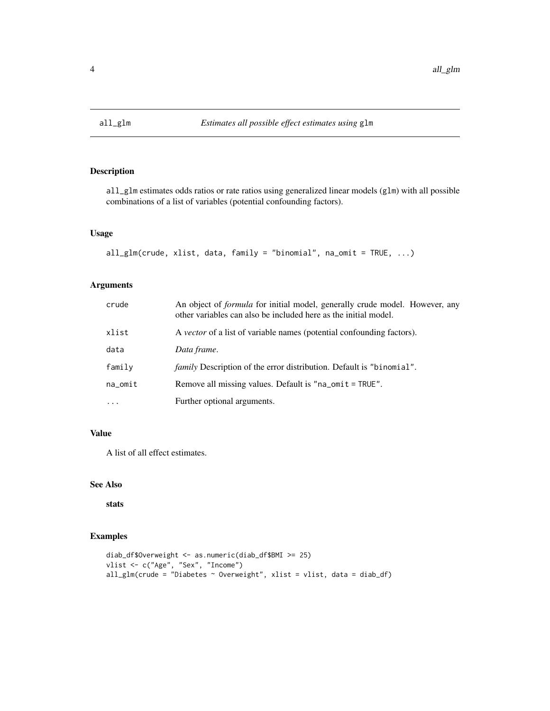<span id="page-3-0"></span>

all\_glm estimates odds ratios or rate ratios using generalized linear models (glm) with all possible combinations of a list of variables (potential confounding factors).

#### Usage

```
all_glm(crude, xlist, data, family = "binomial", na_omit = TRUE, ...)
```
#### Arguments

| crude    | An object of <i>formula</i> for initial model, generally crude model. However, any<br>other variables can also be included here as the initial model. |
|----------|-------------------------------------------------------------------------------------------------------------------------------------------------------|
| xlist    | A vector of a list of variable names (potential confounding factors).                                                                                 |
| data     | Data frame.                                                                                                                                           |
| family   | <i>family</i> Description of the error distribution. Default is "binomial".                                                                           |
| na_omit  | Remove all missing values. Default is "na_omit = TRUE".                                                                                               |
| $\cdots$ | Further optional arguments.                                                                                                                           |

#### Value

A list of all effect estimates.

#### See Also

stats

```
diab_df$Overweight <- as.numeric(diab_df$BMI >= 25)
vlist <- c("Age", "Sex", "Income")
all_glm(crude = "Diabetes ~ Overweight", xlist = vlist, data = diab_df)
```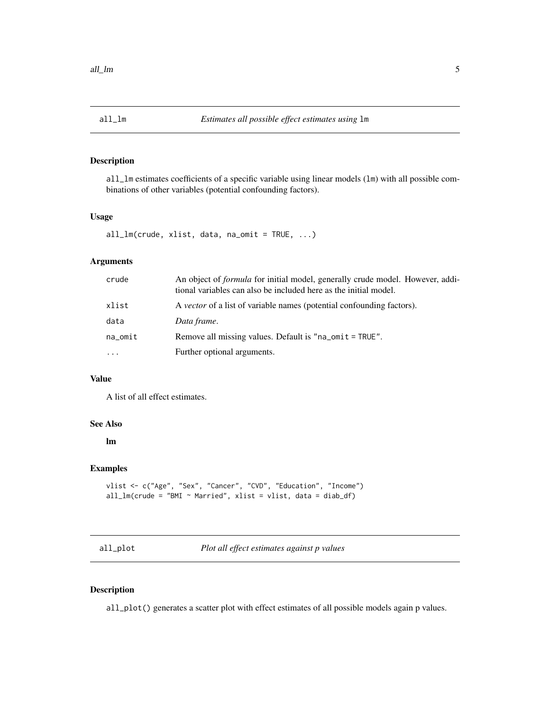<span id="page-4-0"></span>

all\_lm estimates coefficients of a specific variable using linear models (lm) with all possible combinations of other variables (potential confounding factors).

#### Usage

```
all_lm(crude, xlist, data, na_omit = TRUE, ...)
```
#### Arguments

| crude    | An object of <i>formula</i> for initial model, generally crude model. However, addi-<br>tional variables can also be included here as the initial model. |
|----------|----------------------------------------------------------------------------------------------------------------------------------------------------------|
| xlist    | A <i>vector</i> of a list of variable names (potential confounding factors).                                                                             |
| data     | Data frame.                                                                                                                                              |
| na_omit  | Remove all missing values. Default is "na_omit = TRUE".                                                                                                  |
| $\cdots$ | Further optional arguments.                                                                                                                              |

#### Value

A list of all effect estimates.

#### See Also

lm

#### Examples

```
vlist <- c("Age", "Sex", "Cancer", "CVD", "Education", "Income")
all_lm(crude = "BMI \sim Married", xlist = vlist, data = diab_df)
```
all\_plot *Plot all effect estimates against p values*

#### Description

all\_plot() generates a scatter plot with effect estimates of all possible models again p values.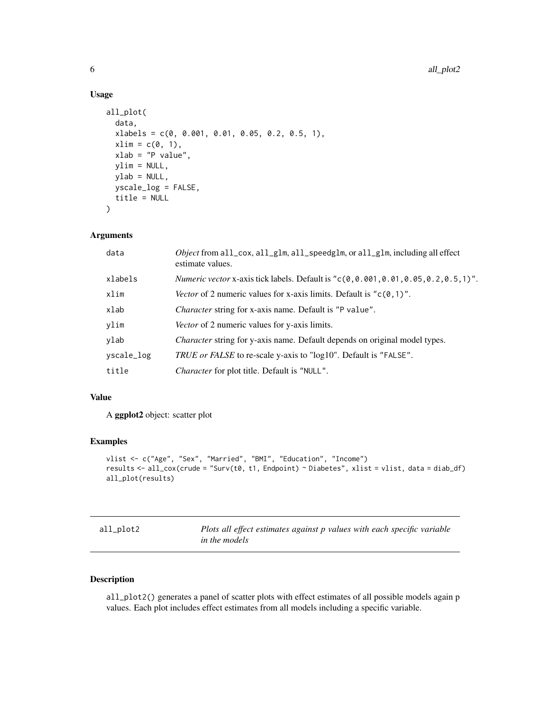#### Usage

```
all_plot(
  data,
  x \text{labels} = c(0, 0.001, 0.01, 0.05, 0.2, 0.5, 1),xlim = c(0, 1),xlab = "P value",
 ylim = NULL,
 ylab = NULL,
 yscale_log = FALSE,
  title = NULL
)
```
#### Arguments

| data       | <i>Object</i> from all_cox, all_glm, all_speedglm, or all_glm, including all effect<br>estimate values. |
|------------|---------------------------------------------------------------------------------------------------------|
| xlabels    | <i>Numeric vector x</i> -axis tick labels. Default is " $c(0, 0.001, 0.01, 0.05, 0.2, 0.5, 1)$ ".       |
| xlim       | Vector of 2 numeric values for x-axis limits. Default is " $c(0,1)$ ".                                  |
| xlab       | <i>Character</i> string for x-axis name. Default is "P value".                                          |
| ylim       | Vector of 2 numeric values for y-axis limits.                                                           |
| ylab       | <i>Character</i> string for y-axis name. Default depends on original model types.                       |
| yscale_log | <i>TRUE or FALSE</i> to re-scale y-axis to "log10". Default is "FALSE".                                 |
| title      | <i>Character</i> for plot title. Default is "NULL".                                                     |

#### Value

A ggplot2 object: scatter plot

#### Examples

```
vlist <- c("Age", "Sex", "Married", "BMI", "Education", "Income")
results <- all_cox(crude = "Surv(t0, t1, Endpoint) ~ Diabetes", xlist = vlist, data = diab_df)
all_plot(results)
```

| all_plot2 | Plots all effect estimates against p values with each specific variable |
|-----------|-------------------------------------------------------------------------|
|           | in the models                                                           |

#### Description

all\_plot2() generates a panel of scatter plots with effect estimates of all possible models again p values. Each plot includes effect estimates from all models including a specific variable.

<span id="page-5-0"></span>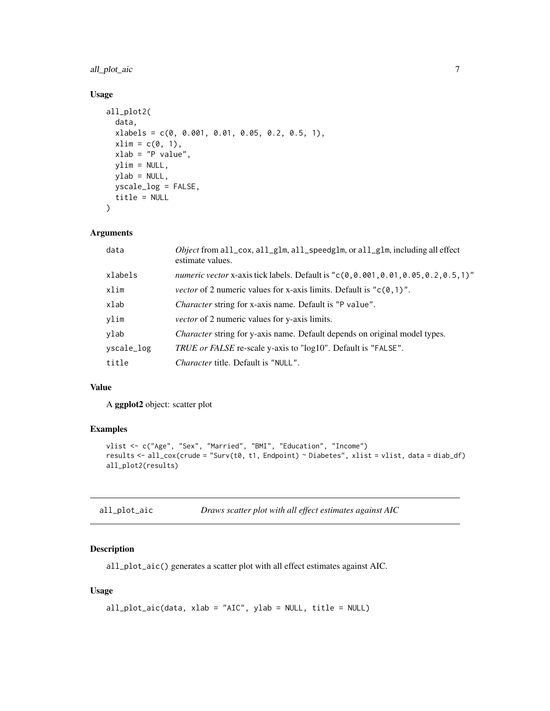#### <span id="page-6-0"></span>all\_plot\_aic 7

#### Usage

```
all_plot2(
  data,
 xlabels = c(0, 0.001, 0.01, 0.05, 0.2, 0.5, 1),
 xlim = c(0, 1),xlab = "P value",ylim = NULL,
 ylab = NULL,
 yscale_log = FALSE,
 title = NULL
\mathcal{L}
```
#### Arguments

| data       | <i>Object</i> from all_cox, all_glm, all_speedglm, or all_glm, including all effect<br>estimate values. |
|------------|---------------------------------------------------------------------------------------------------------|
| xlabels    | numeric vector x-axis tick labels. Default is "c(0,0.001,0.01,0.05,0.2,0.5,1)"                          |
| xlim       | <i>vector</i> of 2 numeric values for x-axis limits. Default is " $c(0, 1)$ ".                          |
| xlab       | <i>Character</i> string for x-axis name. Default is "P value".                                          |
| ylim       | <i>vector</i> of 2 numeric values for y-axis limits.                                                    |
| ylab       | <i>Character</i> string for y-axis name. Default depends on original model types.                       |
| yscale_log | <i>TRUE or FALSE</i> re-scale y-axis to "log10". Default is "FALSE".                                    |
| title      | <i>Character</i> title. Default is "NULL".                                                              |

#### Value

A ggplot2 object: scatter plot

#### Examples

```
vlist <- c("Age", "Sex", "Married", "BMI", "Education", "Income")
results <- all_cox(crude = "Surv(t0, t1, Endpoint) ~ Diabetes", xlist = vlist, data = diab_df)
all_plot2(results)
```

| all_plot_aic | Draws scatter plot with all effect estimates against AIC |  |  |  |  |
|--------------|----------------------------------------------------------|--|--|--|--|
|--------------|----------------------------------------------------------|--|--|--|--|

#### Description

all\_plot\_aic() generates a scatter plot with all effect estimates against AIC.

#### Usage

```
all_plot_aic(data, xlab = "AIC", ylab = NULL, title = NULL)
```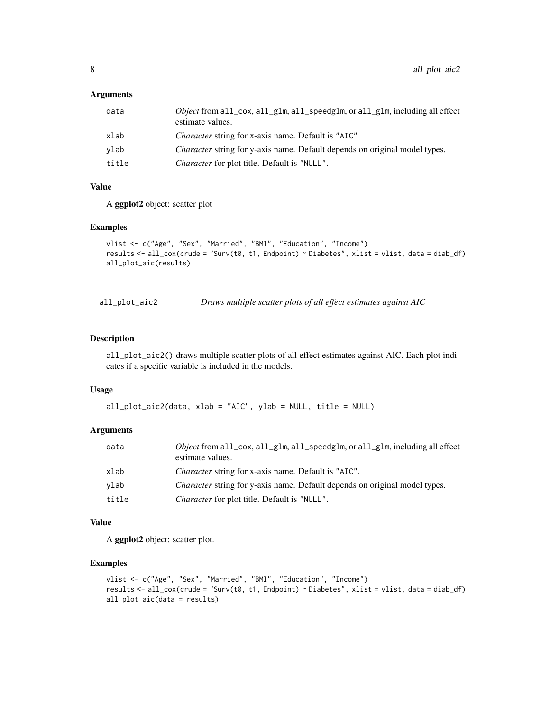#### <span id="page-7-0"></span>Arguments

| data  | <i>Object</i> from all_cox, all_glm, all_speedglm, or all_glm, including all effect<br>estimate values. |
|-------|---------------------------------------------------------------------------------------------------------|
| xlab  | <i>Character</i> string for x-axis name. Default is "AIC"                                               |
| vlab  | Character string for y-axis name. Default depends on original model types.                              |
| title | <i>Character</i> for plot title. Default is "NULL".                                                     |

#### Value

A ggplot2 object: scatter plot

#### Examples

```
vlist <- c("Age", "Sex", "Married", "BMI", "Education", "Income")
results <- all_cox(crude = "Surv(t0, t1, Endpoint) ~ Diabetes", xlist = vlist, data = diab_df)
all_plot_aic(results)
```
all\_plot\_aic2 *Draws multiple scatter plots of all effect estimates against AIC*

#### Description

all\_plot\_aic2() draws multiple scatter plots of all effect estimates against AIC. Each plot indicates if a specific variable is included in the models.

#### Usage

```
all_plot_aic2(data, xlab = "AIC", ylab = NULL, title = NULL)
```
#### Arguments

| data  | <i>Object</i> from all_cox, all_glm, all_speedglm, or all_glm, including all effect<br>estimate values. |
|-------|---------------------------------------------------------------------------------------------------------|
| xlab  | <i>Character</i> string for x-axis name. Default is "AIC".                                              |
| vlab  | <i>Character</i> string for y-axis name. Default depends on original model types.                       |
| title | <i>Character</i> for plot title. Default is "NULL".                                                     |

#### Value

A ggplot2 object: scatter plot.

```
vlist <- c("Age", "Sex", "Married", "BMI", "Education", "Income")
results <- all_cox(crude = "Surv(t0, t1, Endpoint) ~ Diabetes", xlist = vlist, data = diab_df)
all_plot_aic(data = results)
```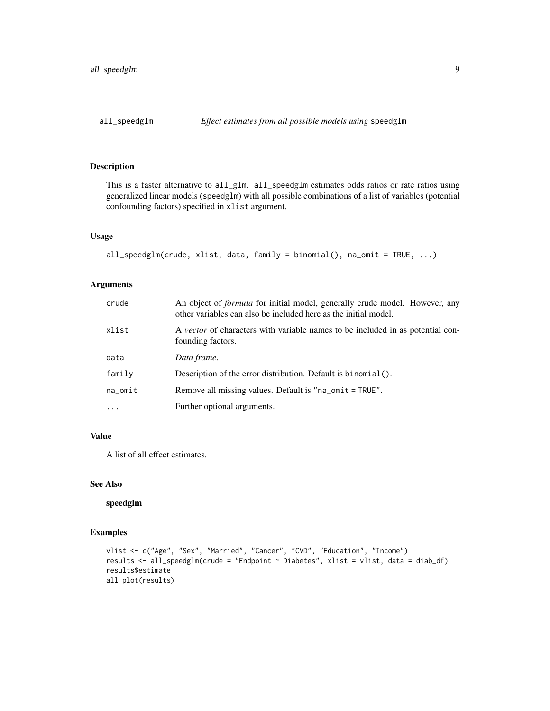<span id="page-8-0"></span>

This is a faster alternative to all\_glm. all\_speedglm estimates odds ratios or rate ratios using generalized linear models (speedglm) with all possible combinations of a list of variables (potential confounding factors) specified in xlist argument.

#### Usage

```
all_speedglm(crude, xlist, data, family = binomial(), na_omit = TRUE, ...)
```
#### Arguments

| crude    | An object of <i>formula</i> for initial model, generally crude model. However, any<br>other variables can also be included here as the initial model. |
|----------|-------------------------------------------------------------------------------------------------------------------------------------------------------|
| xlist    | A vector of characters with variable names to be included in as potential con-<br>founding factors.                                                   |
| data     | Data frame.                                                                                                                                           |
| family   | Description of the error distribution. Default is binomial $()$ .                                                                                     |
| na_omit  | Remove all missing values. Default is "na_omit = TRUE".                                                                                               |
| $\cdots$ | Further optional arguments.                                                                                                                           |

#### Value

A list of all effect estimates.

#### See Also

speedglm

```
vlist <- c("Age", "Sex", "Married", "Cancer", "CVD", "Education", "Income")
results <- all_speedglm(crude = "Endpoint ~ Diabetes", xlist = vlist, data = diab_df)
results$estimate
all_plot(results)
```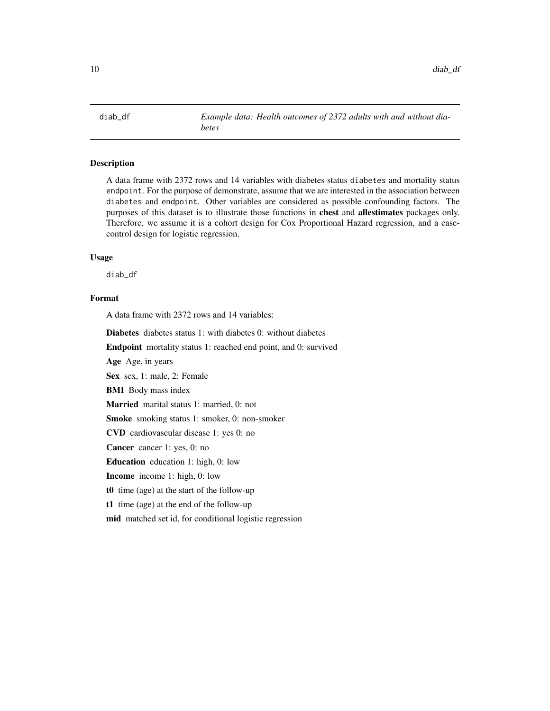<span id="page-9-0"></span>

A data frame with 2372 rows and 14 variables with diabetes status diabetes and mortality status endpoint. For the purpose of demonstrate, assume that we are interested in the association between diabetes and endpoint. Other variables are considered as possible confounding factors. The purposes of this dataset is to illustrate those functions in **chest** and **allestimates** packages only. Therefore, we assume it is a cohort design for Cox Proportional Hazard regression, and a casecontrol design for logistic regression.

#### Usage

diab\_df

#### Format

A data frame with 2372 rows and 14 variables:

Diabetes diabetes status 1: with diabetes 0: without diabetes

Endpoint mortality status 1: reached end point, and 0: survived

Age Age, in years

Sex sex, 1: male, 2: Female

BMI Body mass index

Married marital status 1: married, 0: not

Smoke smoking status 1: smoker, 0: non-smoker

CVD cardiovascular disease 1: yes 0: no

Cancer cancer 1: yes, 0: no

Education education 1: high, 0: low

Income income 1: high, 0: low

t0 time (age) at the start of the follow-up

t1 time (age) at the end of the follow-up

mid matched set id, for conditional logistic regression